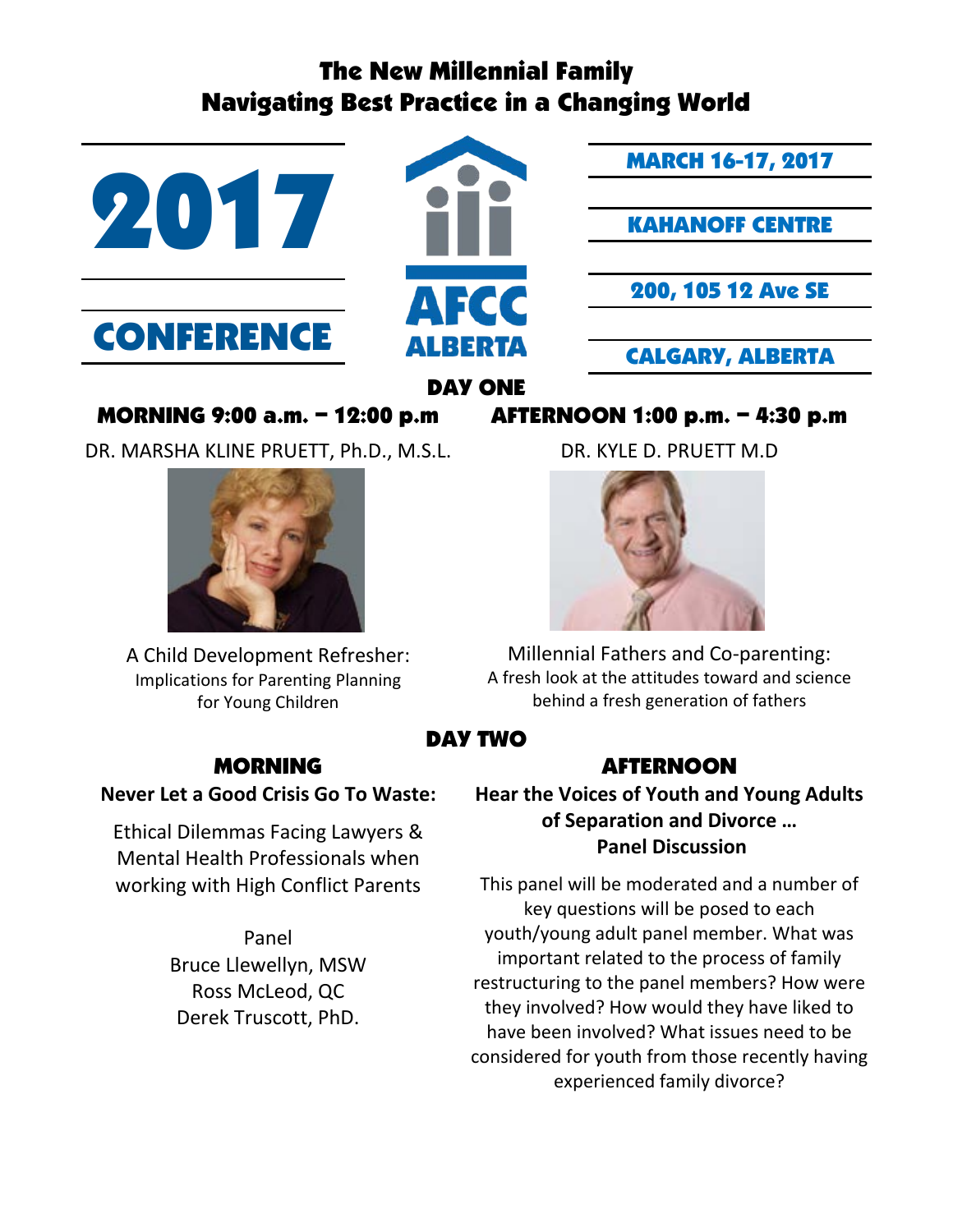# The New Millennial Family Navigating Best Practice in a Changing World



MORNING 9:00 a.m. – 12:00 p.m AFTERNOON 1:00 p.m. – 4:30 p.m

DR. MARSHA KLINE PRUETT, Ph.D., M.S.L.



A Child Development Refresher: Implications for Parenting Planning for Young Children

DR. KYLE D. PRUETT M.D



Millennial Fathers and Co-parenting: A fresh look at the attitudes toward and science behind a fresh generation of fathers

## DAY TWO

## MORNING AFTERNOON

**Hear the Voices of Youth and Young Adults of Separation and Divorce … Panel Discussion**

This panel will be moderated and a number of key questions will be posed to each youth/young adult panel member. What was important related to the process of family restructuring to the panel members? How were they involved? How would they have liked to have been involved? What issues need to be considered for youth from those recently having experienced family divorce?

**Never Let a Good Crisis Go To Waste:**

Ethical Dilemmas Facing Lawyers & Mental Health Professionals when working with High Conflict Parents

> Panel Bruce Llewellyn, MSW Ross McLeod, QC Derek Truscott, PhD.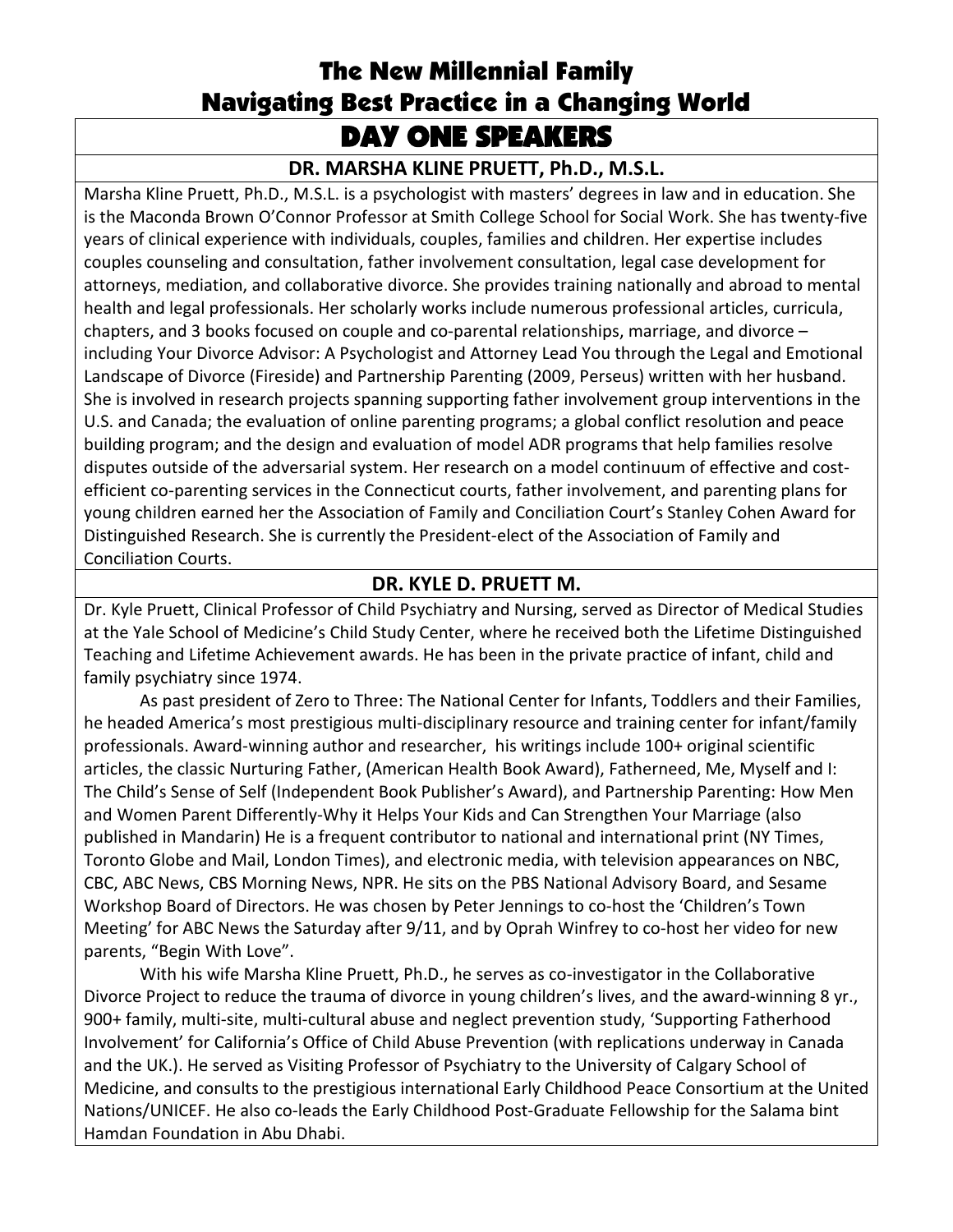## The New Millennial Family Navigating Best Practice in a Changing World DAY ONE SPEAKERS

### **DR. MARSHA KLINE PRUETT, Ph.D., M.S.L.**

Marsha Kline Pruett, Ph.D., M.S.L. is a psychologist with masters' degrees in law and in education. She is the Maconda Brown O'Connor Professor at Smith College School for Social Work. She has twenty-five years of clinical experience with individuals, couples, families and children. Her expertise includes couples counseling and consultation, father involvement consultation, legal case development for attorneys, mediation, and collaborative divorce. She provides training nationally and abroad to mental health and legal professionals. Her scholarly works include numerous professional articles, curricula, chapters, and 3 books focused on couple and co-parental relationships, marriage, and divorce – including Your Divorce Advisor: A Psychologist and Attorney Lead You through the Legal and Emotional Landscape of Divorce (Fireside) and Partnership Parenting (2009, Perseus) written with her husband. She is involved in research projects spanning supporting father involvement group interventions in the U.S. and Canada; the evaluation of online parenting programs; a global conflict resolution and peace building program; and the design and evaluation of model ADR programs that help families resolve disputes outside of the adversarial system. Her research on a model continuum of effective and costefficient co-parenting services in the Connecticut courts, father involvement, and parenting plans for young children earned her the Association of Family and Conciliation Court's Stanley Cohen Award for Distinguished Research. She is currently the President-elect of the Association of Family and Conciliation Courts.

### **DR. KYLE D. PRUETT M.**

Dr. Kyle Pruett, Clinical Professor of Child Psychiatry and Nursing, served as Director of Medical Studies at the Yale School of Medicine's Child Study Center, where he received both the Lifetime Distinguished Teaching and Lifetime Achievement awards. He has been in the private practice of infant, child and family psychiatry since 1974.

As past president of Zero to Three: The National Center for Infants, Toddlers and their Families, he headed America's most prestigious multi-disciplinary resource and training center for infant/family professionals. Award-winning author and researcher, his writings include 100+ original scientific articles, the classic Nurturing Father, (American Health Book Award), Fatherneed, Me, Myself and I: The Child's Sense of Self (Independent Book Publisher's Award), and Partnership Parenting: How Men and Women Parent Differently-Why it Helps Your Kids and Can Strengthen Your Marriage (also published in Mandarin) He is a frequent contributor to national and international print (NY Times, Toronto Globe and Mail, London Times), and electronic media, with television appearances on NBC, CBC, ABC News, CBS Morning News, NPR. He sits on the PBS National Advisory Board, and Sesame Workshop Board of Directors. He was chosen by Peter Jennings to co-host the 'Children's Town Meeting' for ABC News the Saturday after 9/11, and by Oprah Winfrey to co-host her video for new parents, "Begin With Love".

With his wife Marsha Kline Pruett, Ph.D., he serves as co-investigator in the Collaborative Divorce Project to reduce the trauma of divorce in young children's lives, and the award-winning 8 yr., 900+ family, multi-site, multi-cultural abuse and neglect prevention study, 'Supporting Fatherhood Involvement' for California's Office of Child Abuse Prevention (with replications underway in Canada and the UK.). He served as Visiting Professor of Psychiatry to the University of Calgary School of Medicine, and consults to the prestigious international Early Childhood Peace Consortium at the United Nations/UNICEF. He also co-leads the Early Childhood Post-Graduate Fellowship for the Salama bint Hamdan Foundation in Abu Dhabi.